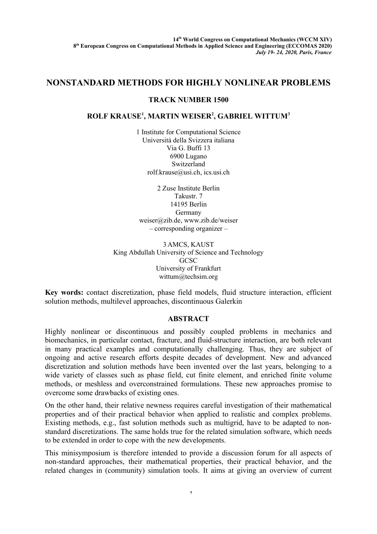## **NONSTANDARD METHODS FOR HIGHLY NONLINEAR PROBLEMS**

## **TRACK NUMBER 1500**

## **ROLF KRAUSE<sup>1</sup> , MARTIN WEISER<sup>2</sup> , GABRIEL WITTUM<sup>3</sup>**

1 Institute for Computational Science Università della Svizzera italiana Via G. Buffi 13 6900 Lugano Switzerland [rolf.krause@usi.ch,](mailto:rolf.krause@usi.ch) ics.usi.ch

2 Zuse Institute Berlin Takustr. 7 14195 Berlin Germany weiser@zib.de, [www.zib.de/weiser](http://www.zib.de/weiser) – corresponding organizer –

3 AMCS, KAUST King Abdullah University of Science and Technology **GCSC** University of Frankfurt wittum@techsim.org

**Key words:** contact discretization, phase field models, fluid structure interaction, efficient solution methods, multilevel approaches, discontinuous Galerkin

## **ABSTRACT**

Highly nonlinear or discontinuous and possibly coupled problems in mechanics and biomechanics, in particular contact, fracture, and fluid-structure interaction, are both relevant in many practical examples and computationally challenging. Thus, they are subject of ongoing and active research efforts despite decades of development. New and advanced discretization and solution methods have been invented over the last years, belonging to a wide variety of classes such as phase field, cut finite element, and enriched finite volume methods, or meshless and overconstrained formulations. These new approaches promise to overcome some drawbacks of existing ones.

On the other hand, their relative newness requires careful investigation of their mathematical properties and of their practical behavior when applied to realistic and complex problems. Existing methods, e.g., fast solution methods such as multigrid, have to be adapted to nonstandard discretizations. The same holds true for the related simulation software, which needs to be extended in order to cope with the new developments.

This minisymposium is therefore intended to provide a discussion forum for all aspects of non-standard approaches, their mathematical properties, their practical behavior, and the related changes in (community) simulation tools. It aims at giving an overview of current

1